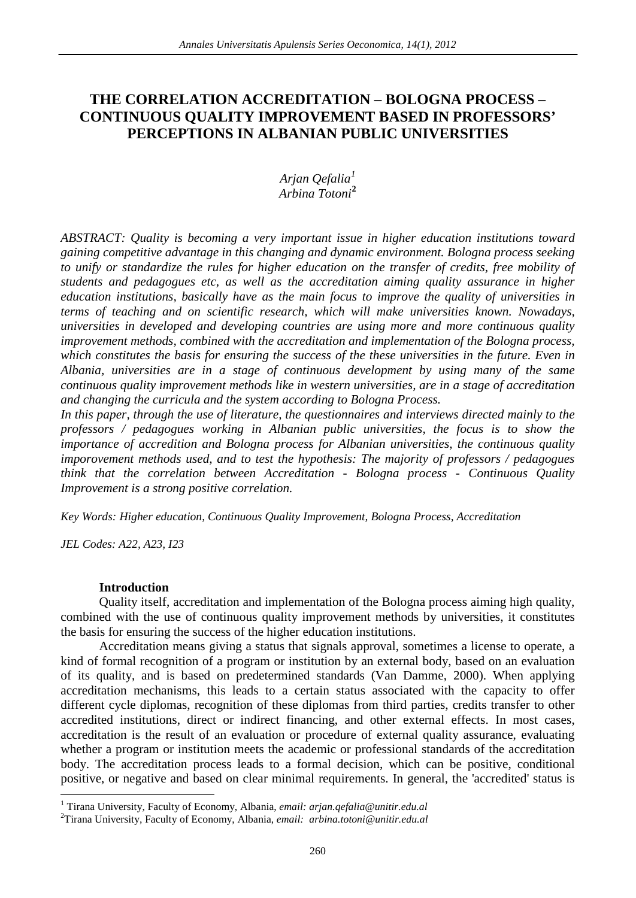# **THE CORRELATION ACCREDITATION – BOLOGNA PROCESS – CONTINUOUS QUALITY IMPROVEMENT BASED IN PROFESSORS' PERCEPTIONS IN ALBANIAN PUBLIC UNIVERSITIES**

## *Arjan Qefalia[1](#page-0-0) Arbina Totoni***[2](#page-0-1)**

*ABSTRACT: Quality is becoming a very important issue in higher education institutions toward gaining competitive advantage in this changing and dynamic environment. Bologna process seeking to unify or standardize the rules for higher education on the transfer of credits, free mobility of students and pedagogues etc, as well as the accreditation aiming quality assurance in higher education institutions, basically have as the main focus to improve the quality of universities in terms of teaching and on scientific research, which will make universities known. Nowadays, universities in developed and developing countries are using more and more continuous quality improvement methods, combined with the accreditation and implementation of the Bologna process, which constitutes the basis for ensuring the success of the these universities in the future. Even in Albania, universities are in a stage of continuous development by using many of the same continuous quality improvement methods like in western universities, are in a stage of accreditation and changing the curricula and the system according to Bologna Process.*

*In this paper, through the use of literature, the questionnaires and interviews directed mainly to the professors / pedagogues working in Albanian public universities, the focus is to show the importance of accredition and Bologna process for Albanian universities, the continuous quality imporovement methods used, and to test the hypothesis: The majority of professors / pedagogues think that the correlation between Accreditation - Bologna process - Continuous Quality Improvement is a strong positive correlation.*

*Key Words: Higher education, Continuous Quality Improvement, Bologna Process, Accreditation*

*JEL Codes: A22, A23, I23*

## **Introduction**

Quality itself, accreditation and implementation of the Bologna process aiming high quality, combined with the use of continuous quality improvement methods by universities, it constitutes the basis for ensuring the success of the higher education institutions.

Accreditation means giving a status that signals approval, sometimes a license to operate, a kind of formal recognition of a program or institution by an external body, based on an evaluation of its quality, and is based on predetermined standards (Van Damme, 2000). When applying accreditation mechanisms, this leads to a certain status associated with the capacity to offer different cycle diplomas, recognition of these diplomas from third parties, credits transfer to other accredited institutions, direct or indirect financing, and other external effects. In most cases, accreditation is the result of an evaluation or procedure of external quality assurance, evaluating whether a program or institution meets the academic or professional standards of the accreditation body. The accreditation process leads to a formal decision, which can be positive, conditional positive, or negative and based on clear minimal requirements. In general, the 'accredited' status is

<span id="page-0-0"></span><sup>1</sup> Tirana University, Faculty of Economy, Albania, *email: [arjan.qefalia@unitir.edu.al](mailto:arjan.qefalia@unitir.edu.al)* <sup>2</sup>

<span id="page-0-2"></span><span id="page-0-1"></span>Tirana University, Faculty of Economy, Albania, *email: [arbina.totoni@unitir.edu.al](mailto:arbina.totoni@unitir.edu.al)*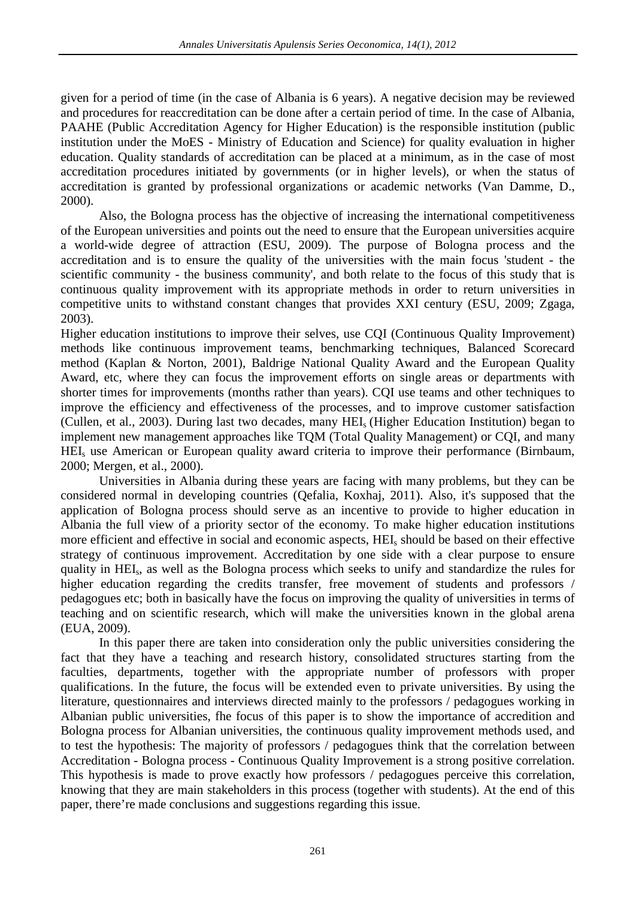given for a period of time (in the case of Albania is 6 years). A negative decision may be reviewed and procedures for reaccreditation can be done after a certain period of time. In the case of Albania, PAAHE (Public Accreditation Agency for Higher Education) is the responsible institution (public institution under the MoES - Ministry of Education and Science) for quality evaluation in higher education. Quality standards of accreditation can be placed at a minimum, as in the case of most accreditation procedures initiated by governments (or in higher levels), or when the status of accreditation is granted by professional organizations or academic networks (Van Damme, D., 2000).

Also, the Bologna process has the objective of increasing the international competitiveness of the European universities and points out the need to ensure that the European universities acquire a world-wide degree of attraction (ESU, 2009). The purpose of Bologna process and the accreditation and is to ensure the quality of the universities with the main focus 'student - the scientific community - the business community', and both relate to the focus of this study that is continuous quality improvement with its appropriate methods in order to return universities in competitive units to withstand constant changes that provides XXI century (ESU, 2009; Zgaga, 2003).

Higher education institutions to improve their selves, use CQI (Continuous Quality Improvement) methods like continuous improvement teams, benchmarking techniques, Balanced Scorecard method (Kaplan & Norton, 2001), Baldrige National Quality Award and the European Quality Award, etc, where they can focus the improvement efforts on single areas or departments with shorter times for improvements (months rather than years). CQI use teams and other techniques to improve the efficiency and effectiveness of the processes, and to improve customer satisfaction (Cullen, et al., 2003). During last two decades, many HEIs (Higher Education Institution) began to implement new management approaches like TQM (Total Quality Management) or CQI, and many HEIs use American or European quality award criteria to improve their performance (Birnbaum, 2000; Mergen, et al., 2000).

Universities in Albania during these years are facing with many problems, but they can be considered normal in developing countries (Qefalia, Koxhaj, 2011). Also, it's supposed that the application of Bologna process should serve as an incentive to provide to higher education in Albania the full view of a priority sector of the economy. To make higher education institutions more efficient and effective in social and economic aspects, HEIs should be based on their effective strategy of continuous improvement. Accreditation by one side with a clear purpose to ensure quality in HEIs, as well as the Bologna process which seeks to unify and standardize the rules for higher education regarding the credits transfer, free movement of students and professors / pedagogues etc; both in basically have the focus on improving the quality of universities in terms of teaching and on scientific research, which will make the universities known in the global arena (EUA, 2009).

In this paper there are taken into consideration only the public universities considering the fact that they have a teaching and research history, consolidated structures starting from the faculties, departments, together with the appropriate number of professors with proper qualifications. In the future, the focus will be extended even to private universities. By using the literature, questionnaires and interviews directed mainly to the professors / pedagogues working in Albanian public universities, fhe focus of this paper is to show the importance of accredition and Bologna process for Albanian universities, the continuous quality improvement methods used, and to test the hypothesis: The majority of professors / pedagogues think that the correlation between Accreditation - Bologna process - Continuous Quality Improvement is a strong positive correlation. This hypothesis is made to prove exactly how professors / pedagogues perceive this correlation, knowing that they are main stakeholders in this process (together with students). At the end of this paper, there're made conclusions and suggestions regarding this issue.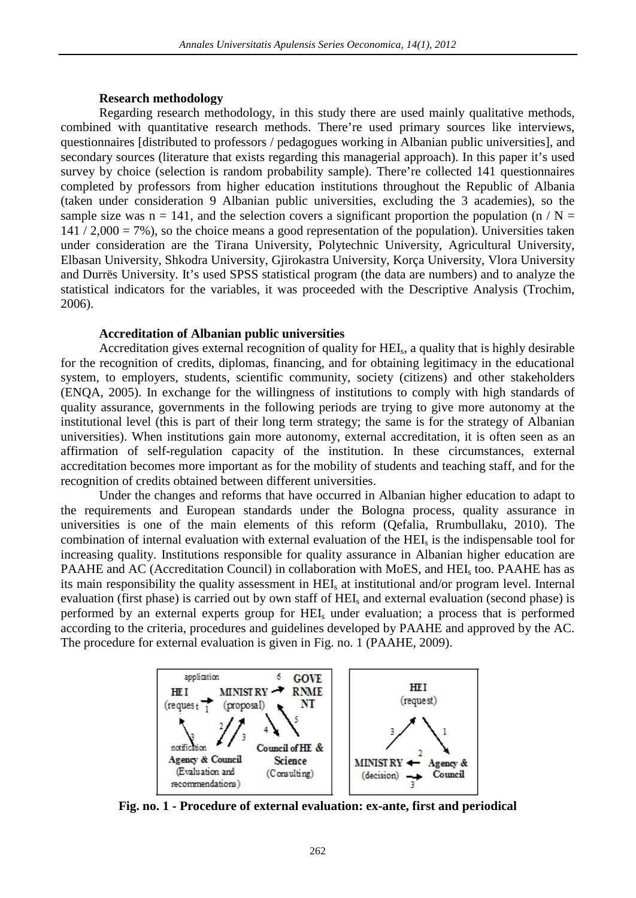#### **Research methodology**

Regarding research methodology, in this study there are used mainly qualitative methods, combined with quantitative research methods. There're used primary sources like interviews, questionnaires [distributed to professors / pedagogues working in Albanian public universities], and secondary sources (literature that exists regarding this managerial approach). In this paper it's used survey by choice (selection is random probability sample). There're collected 141 questionnaires completed by professors from higher education institutions throughout the Republic of Albania (taken under consideration 9 Albanian public universities, excluding the 3 academies), so the sample size was  $n = 141$ , and the selection covers a significant proportion the population (n / N =  $141 / 2,000 = 7\%$ , so the choice means a good representation of the population). Universities taken under consideration are the Tirana University, Polytechnic University, Agricultural University, Elbasan University, Shkodra University, Gjirokastra University, Korça University, Vlora University and Durrës University. It's used SPSS statistical program (the data are numbers) and to analyze the statistical indicators for the variables, it was proceeded with the Descriptive Analysis (Trochim, 2006).

#### **Accreditation of Albanian public universities**

Accreditation gives external recognition of quality for HEIs, a quality that is highly desirable for the recognition of credits, diplomas, financing, and for obtaining legitimacy in the educational system, to employers, students, scientific community, society (citizens) and other stakeholders (ENQA, 2005). In exchange for the willingness of institutions to comply with high standards of quality assurance, governments in the following periods are trying to give more autonomy at the institutional level (this is part of their long term strategy; the same is for the strategy of Albanian universities). When institutions gain more autonomy, external accreditation, it is often seen as an affirmation of self-regulation capacity of the institution. In these circumstances, external accreditation becomes more important as for the mobility of students and teaching staff, and for the recognition of credits obtained between different universities.

Under the changes and reforms that have occurred in Albanian higher education to adapt to the requirements and European standards under the Bologna process, quality assurance in universities is one of the main elements of this reform (Qefalia, Rrumbullaku, 2010). The combination of internal evaluation with external evaluation of the HEIs is the indispensable tool for increasing quality. Institutions responsible for quality assurance in Albanian higher education are PAAHE and AC (Accreditation Council) in collaboration with MoES, and HEI<sub>s</sub> too. PAAHE has as its main responsibility the quality assessment in HEIs at institutional and/or program level. Internal evaluation (first phase) is carried out by own staff of HEI<sub>s</sub> and external evaluation (second phase) is performed by an external experts group for HEIs under evaluation; a process that is performed according to the criteria, procedures and guidelines developed by PAAHE and approved by the AC. The procedure for external evaluation is given in Fig. no. 1 (PAAHE, 2009).



**Fig. no. 1 - Procedure of external evaluation: ex-ante, first and periodical**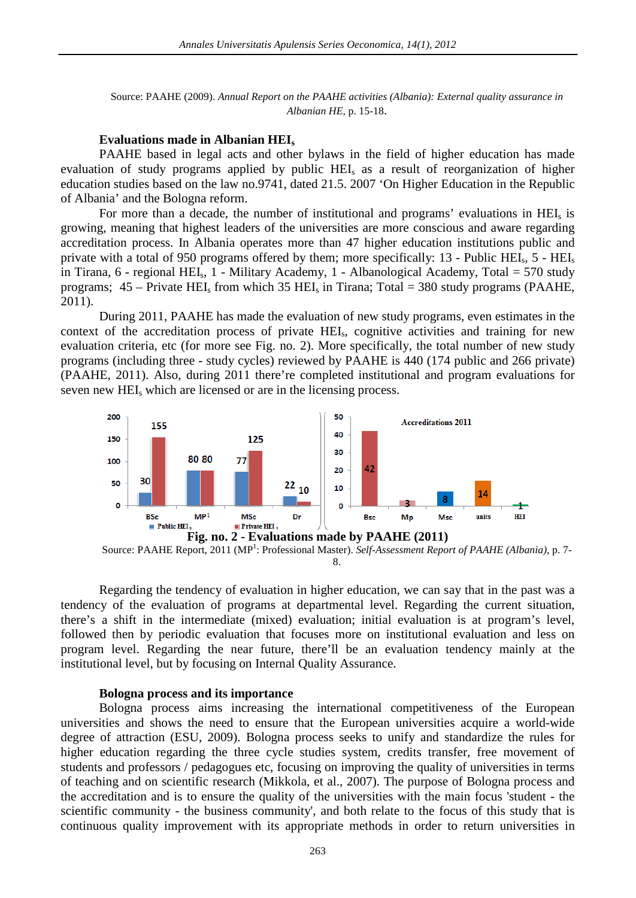Source: PAAHE (2009). *Annual Report on the PAAHE activities (Albania): External quality assurance in Albanian HE,* p. 15-18.

#### **Evaluations made in Albanian HEIs**

PAAHE based in legal acts and other bylaws in the field of higher education has made evaluation of study programs applied by public HEI<sub>s</sub> as a result of reorganization of higher education studies based on the law no.9741, dated 21.5. 2007 'On Higher Education in the Republic of Albania' and the Bologna reform.

For more than a decade, the number of institutional and programs' evaluations in HEI<sub>s</sub> is growing, meaning that highest leaders of the universities are more conscious and aware regarding accreditation process. In Albania operates more than 47 higher education institutions public and private with a total of 950 programs offered by them; more specifically: 13 - Public HEIs, 5 - HEIs in Tirana, 6 - regional HEIs, 1 - Military Academy, 1 - Albanological Academy, Total = 570 study programs;  $45 -$  Private HEI<sub>s</sub> from which 35 HEI<sub>s</sub> in Tirana; Total = 380 study programs (PAAHE, 2011).

During 2011, PAAHE has made the evaluation of new study programs, even estimates in the context of the accreditation process of private HEIs, cognitive activities and training for new evaluation criteria, etc (for more see Fig. no. 2). More specifically, the total number of new study programs (including three - study cycles) reviewed by PAAHE is 440 (174 public and 266 private) (PAAHE, 2011). Also, during 2011 there're completed institutional and program evaluations for seven new HEI<sub>s</sub> which are licensed or are in the licensing process.



Source: PAAHE Report, 2011 (MP<sup>1</sup>: Professional Master). Self-Assessment Report of PAAHE (Albania), p. 7-8.

Regarding the tendency of evaluation in higher education, we can say that in the past was a tendency of the evaluation of programs at departmental level. Regarding the current situation, there's a shift in the intermediate (mixed) evaluation; initial evaluation is at program's level, followed then by periodic evaluation that focuses more on institutional evaluation and less on program level. Regarding the near future, there'll be an evaluation tendency mainly at the institutional level, but by focusing on Internal Quality Assurance.

#### **Bologna process and its importance**

Bologna process aims increasing the international competitiveness of the European universities and shows the need to ensure that the European universities acquire a world-wide degree of attraction (ESU, 2009). Bologna process seeks to unify and standardize the rules for higher education regarding the three cycle studies system, credits transfer, free movement of students and professors / pedagogues etc, focusing on improving the quality of universities in terms of teaching and on scientific research (Mikkola, et al., 2007). The purpose of Bologna process and the accreditation and is to ensure the quality of the universities with the main focus 'student - the scientific community - the business community', and both relate to the focus of this study that is continuous quality improvement with its appropriate methods in order to return universities in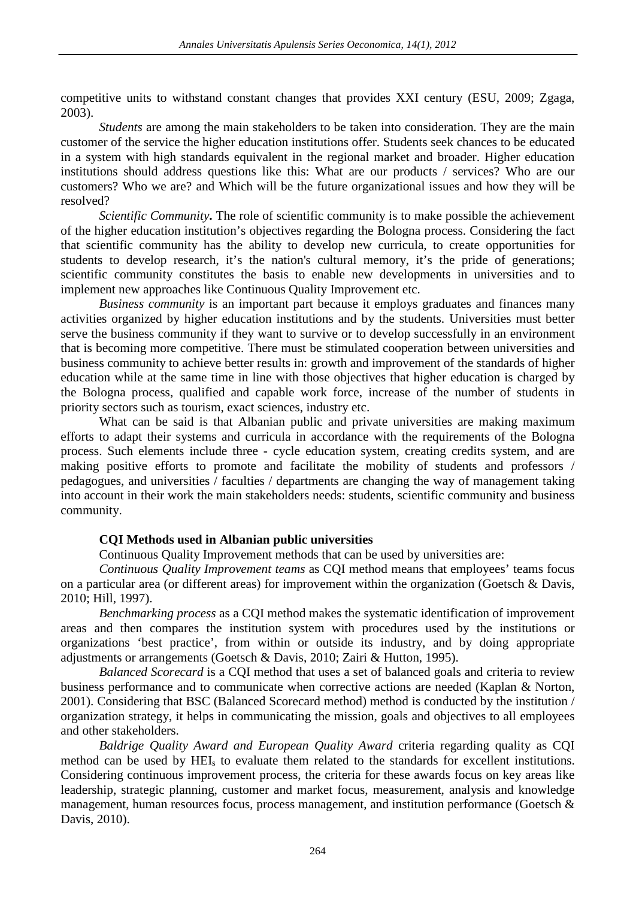competitive units to withstand constant changes that provides XXI century (ESU, 2009; Zgaga, 2003).

*Students* are among the main stakeholders to be taken into consideration*.* They are the main customer of the service the higher education institutions offer. Students seek chances to be educated in a system with high standards equivalent in the regional market and broader. Higher education institutions should address questions like this: What are our products / services? Who are our customers? Who we are? and Which will be the future organizational issues and how they will be resolved?

*Scientific Community***.** The role of scientific community is to make possible the achievement of the higher education institution's objectives regarding the Bologna process. Considering the fact that scientific community has the ability to develop new curricula, to create opportunities for students to develop research, it's the nation's cultural memory, it's the pride of generations; scientific community constitutes the basis to enable new developments in universities and to implement new approaches like Continuous Quality Improvement etc.

*Business community* is an important part because it employs graduates and finances many activities organized by higher education institutions and by the students. Universities must better serve the business community if they want to survive or to develop successfully in an environment that is becoming more competitive. There must be stimulated cooperation between universities and business community to achieve better results in: growth and improvement of the standards of higher education while at the same time in line with those objectives that higher education is charged by the Bologna process, qualified and capable work force, increase of the number of students in priority sectors such as tourism, exact sciences, industry etc.

What can be said is that Albanian public and private universities are making maximum efforts to adapt their systems and curricula in accordance with the requirements of the Bologna process. Such elements include three - cycle education system, creating credits system, and are making positive efforts to promote and facilitate the mobility of students and professors / pedagogues, and universities / faculties / departments are changing the way of management taking into account in their work the main stakeholders needs: students, scientific community and business community.

## **CQI Methods used in Albanian public universities**

Continuous Quality Improvement methods that can be used by universities are:

*Continuous Quality Improvement teams* as CQI method means that employees' teams focus on a particular area (or different areas) for improvement within the organization (Goetsch & Davis, 2010; Hill, 1997).

*Benchmarking process* as a CQI method makes the systematic identification of improvement areas and then compares the institution system with procedures used by the institutions or organizations 'best practice', from within or outside its industry, and by doing appropriate adjustments or arrangements (Goetsch & Davis, 2010; Zairi & Hutton, 1995).

*Balanced Scorecard* is a CQI method that uses a set of balanced goals and criteria to review business performance and to communicate when corrective actions are needed (Kaplan & Norton, 2001). Considering that BSC (Balanced Scorecard method) method is conducted by the institution / organization strategy, it helps in communicating the mission, goals and objectives to all employees and other stakeholders.

*Baldrige Quality Award and European Quality Award* criteria regarding quality as CQI method can be used by HEI<sub>s</sub> to evaluate them related to the standards for excellent institutions. Considering continuous improvement process, the criteria for these awards focus on key areas like leadership, strategic planning, customer and market focus, measurement, analysis and knowledge management, human resources focus, process management, and institution performance (Goetsch & Davis, 2010).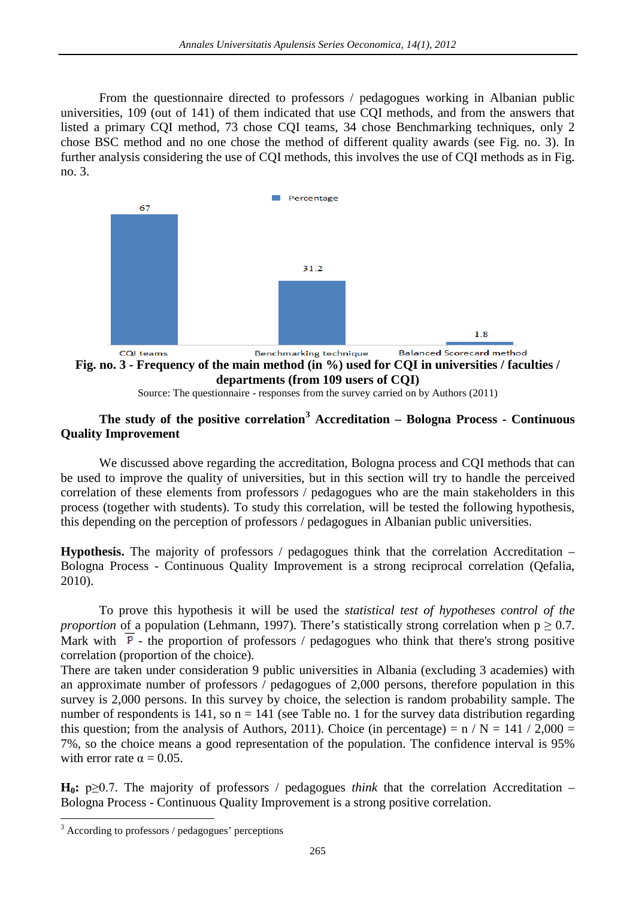From the questionnaire directed to professors / pedagogues working in Albanian public universities, 109 (out of 141) of them indicated that use CQI methods, and from the answers that listed a primary CQI method, 73 chose CQI teams, 34 chose Benchmarking techniques, only 2 chose BSC method and no one chose the method of different quality awards (see Fig. no. 3). In further analysis considering the use of CQI methods, this involves the use of CQI methods as in Fig. no. 3.



**Fig. no. 3 - Frequency of the main method (in %) used for CQI in universities / faculties / departments (from 109 users of CQI)**

# **The study of the positive correlation[3](#page-0-2) Accreditation – Bologna Process - Continuous Quality Improvement**

We discussed above regarding the accreditation, Bologna process and CQI methods that can be used to improve the quality of universities, but in this section will try to handle the perceived correlation of these elements from professors / pedagogues who are the main stakeholders in this process (together with students). To study this correlation, will be tested the following hypothesis, this depending on the perception of professors / pedagogues in Albanian public universities.

**Hypothesis.** The majority of professors / pedagogues think that the correlation Accreditation – Bologna Process - Continuous Quality Improvement is a strong reciprocal correlation (Qefalia, 2010).

To prove this hypothesis it will be used the *statistical test of hypotheses control of the proportion* of a population (Lehmann, 1997). There's statistically strong correlation when  $p \ge 0.7$ . Mark with  $\overline{P}$  - the proportion of professors / pedagogues who think that there's strong positive correlation (proportion of the choice).

There are taken under consideration 9 public universities in Albania (excluding 3 academies) with an approximate number of professors / pedagogues of 2,000 persons, therefore population in this survey is 2,000 persons. In this survey by choice, the selection is random probability sample. The number of respondents is 141, so  $n = 141$  (see Table no. 1 for the survey data distribution regarding this question; from the analysis of Authors, 2011). Choice (in percentage) =  $n / N = 141 / 2,000 =$ 7%, so the choice means a good representation of the population. The confidence interval is 95% with error rate  $\alpha = 0.05$ .

**H<sub>0</sub>:** p $\geq$ 0.7. The majority of professors / pedagogues *think* that the correlation Accreditation – Bologna Process - Continuous Quality Improvement is a strong positive correlation.

Source: The questionnaire - responses from the survey carried on by Authors (2011)

<sup>&</sup>lt;sup>3</sup> According to professors / pedagogues' perceptions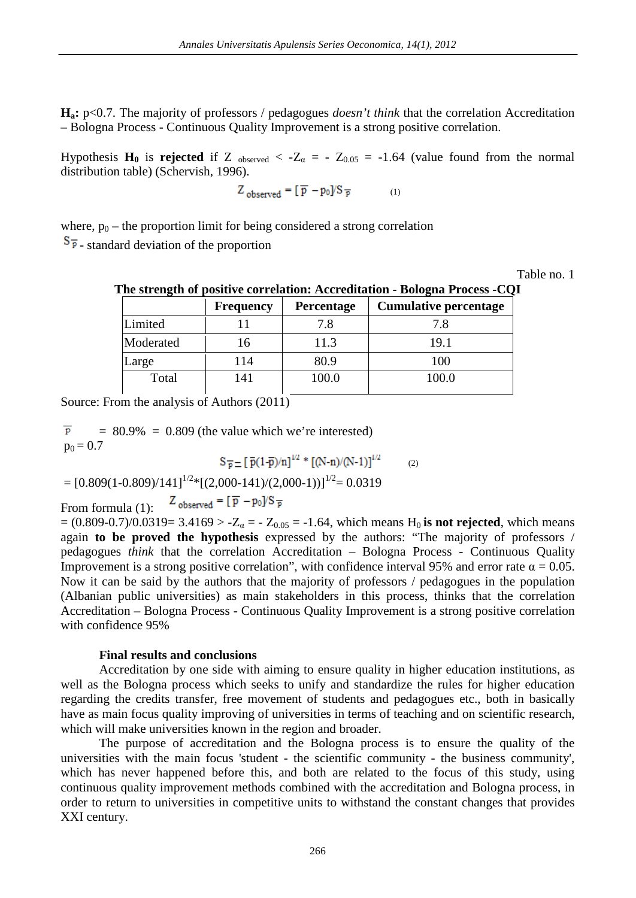**Ha:** p<0.7. The majority of professors / pedagogues *doesn't think* that the correlation Accreditation – Bologna Process - Continuous Quality Improvement is a strong positive correlation.

Hypothesis  $H_0$  is **rejected** if Z <sub>observed</sub> < - $Z_\alpha$  = -  $Z_{0.05}$  = -1.64 (value found from the normal distribution table) (Schervish, 1996).

$$
Z_{observed} = [\overline{p} - p_0] / S_{\overline{p}} \tag{1}
$$

where,  $p_0$  – the proportion limit for being considered a strong correlation  $S_{\overline{P}}$  - standard deviation of the proportion

Table no. 1

## **The strength of positive correlation: Accreditation - Bologna Process -CQI**

|           | <b>Frequency</b> | Percentage | <b>Cumulative percentage</b> |
|-----------|------------------|------------|------------------------------|
| Limited   |                  | 7.8        | 7.8                          |
| Moderated | 16               | 11.3       | 19.1                         |
| Large     | 114              | 80.9       | 100                          |
| Total     | 41               | 100.0      | 100.0                        |

Source: From the analysis of Authors (2011)

 $\overline{p}$  $= 80.9\% = 0.809$  (the value which we're interested)  $p_0 = 0.7$ 

$$
S_{\overline{p}} = [\,\overline{p}(1-\overline{p})/n]^{1/2} * [(N-n)/(N-1)]^{1/2} \tag{2}
$$

$$
= [0.809(1-0.809)/141]^{1/2} * [(2,000-141)/(2,000-1))]^{1/2} = 0.0319
$$

 $Z_{observed} = [\overline{p} - p_0] / S_{\overline{p}}$ From formula (1):

 $= (0.809 - 0.7)/0.0319 = 3.4169 > -Z_\alpha = -Z_{0.05} = -1.64$ , which means H<sub>0</sub> is not rejected, which means again **to be proved the hypothesis** expressed by the authors: "The majority of professors / pedagogues *think* that the correlation Accreditation – Bologna Process - Continuous Quality Improvement is a strong positive correlation", with confidence interval 95% and error rate  $\alpha = 0.05$ . Now it can be said by the authors that the majority of professors / pedagogues in the population (Albanian public universities) as main stakeholders in this process, thinks that the correlation Accreditation – Bologna Process - Continuous Quality Improvement is a strong positive correlation with confidence 95%

### **Final results and conclusions**

Accreditation by one side with aiming to ensure quality in higher education institutions, as well as the Bologna process which seeks to unify and standardize the rules for higher education regarding the credits transfer, free movement of students and pedagogues etc., both in basically have as main focus quality improving of universities in terms of teaching and on scientific research, which will make universities known in the region and broader.

The purpose of accreditation and the Bologna process is to ensure the quality of the universities with the main focus 'student - the scientific community - the business community', which has never happened before this, and both are related to the focus of this study, using continuous quality improvement methods combined with the accreditation and Bologna process, in order to return to universities in competitive units to withstand the constant changes that provides XXI century.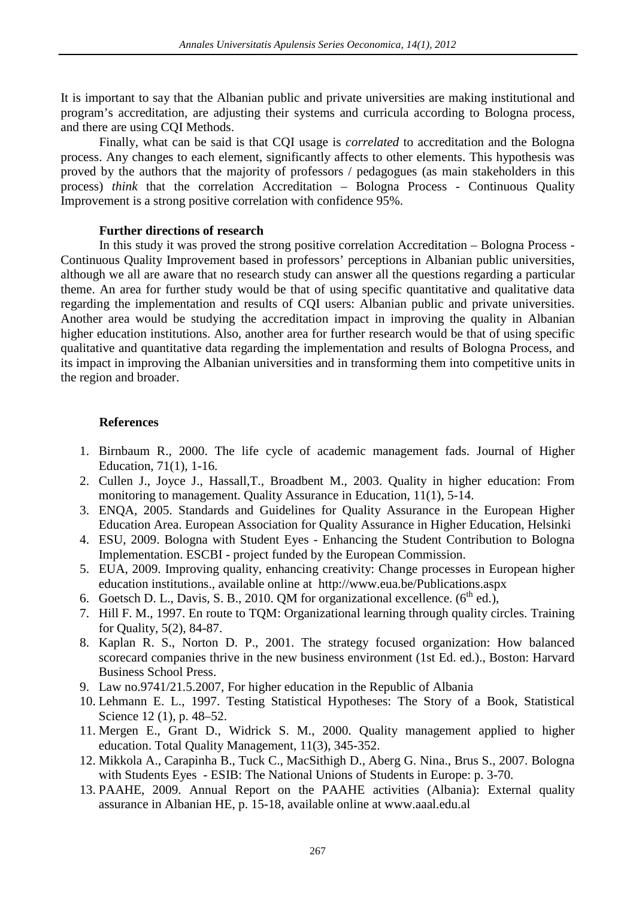It is important to say that the Albanian public and private universities are making institutional and program's accreditation, are adjusting their systems and curricula according to Bologna process, and there are using CQI Methods.

Finally, what can be said is that CQI usage is *correlated* to accreditation and the Bologna process. Any changes to each element, significantly affects to other elements. This hypothesis was proved by the authors that the majority of professors / pedagogues (as main stakeholders in this process) *think* that the correlation Accreditation – Bologna Process - Continuous Quality Improvement is a strong positive correlation with confidence 95%.

### **Further directions of research**

In this study it was proved the strong positive correlation Accreditation – Bologna Process - Continuous Quality Improvement based in professors' perceptions in Albanian public universities, although we all are aware that no research study can answer all the questions regarding a particular theme. An area for further study would be that of using specific quantitative and qualitative data regarding the implementation and results of CQI users: Albanian public and private universities. Another area would be studying the accreditation impact in improving the quality in Albanian higher education institutions. Also, another area for further research would be that of using specific qualitative and quantitative data regarding the implementation and results of Bologna Process, and its impact in improving the Albanian universities and in transforming them into competitive units in the region and broader.

## **References**

- 1. Birnbaum R., 2000. The life cycle of academic management fads. Journal of Higher Education, 71(1), 1-16.
- 2. Cullen J., Joyce J., Hassall,T., Broadbent M., 2003. Quality in higher education: From monitoring to management. Quality Assurance in Education, 11(1), 5-14.
- 3. ENQA, 2005. Standards and Guidelines for Quality Assurance in the European Higher Education Area. European Association for Quality Assurance in Higher Education, Helsinki
- 4. ESU, 2009. Bologna with Student Eyes Enhancing the Student Contribution to Bologna Implementation. ESCBI - project funded by the European Commission.
- 5. EUA, 2009. Improving quality, enhancing creativity: Change processes in European higher education institutions., available online at http://www.eua.be/Publications.aspx
- 6. Goetsch D. L., Davis, S. B., 2010. QM for organizational excellence.  $(6^{th}$  ed.),
- 7. Hill F. M., 1997. En route to TQM: Organizational learning through quality circles. Training for Quality, 5(2), 84-87.
- 8. Kaplan R. S., Norton D. P., 2001. The strategy focused organization: How balanced scorecard companies thrive in the new business environment (1st Ed. ed.)., Boston: Harvard Business School Press.
- 9. Law no.9741/21.5.2007, For higher education in the Republic of Albania
- 10. Lehmann E. L., 1997. Testing Statistical Hypotheses: The Story of a Book, Statistical Science 12 (1), p. 48–52.
- 11. Mergen E., Grant D., Widrick S. M., 2000. Quality management applied to higher education. Total Quality Management, 11(3), 345-352.
- 12. [Mikkola A.,](http://www.eric.ed.gov/ERICWebPortal/Home.portal?_nfpb=true&_pageLabel=ERICSearchResult&_urlType=action&newSearch=true&ERICExtSearch_SearchType_0=au&ERICExtSearch_SearchValue_0=%22Mikkola+Anne%22) [Carapinha B.,](http://www.eric.ed.gov/ERICWebPortal/Home.portal?_nfpb=true&_pageLabel=ERICSearchResult&_urlType=action&newSearch=true&ERICExtSearch_SearchType_0=au&ERICExtSearch_SearchValue_0=%22Carapinha+Bruno%22) [Tuck C.,](http://www.eric.ed.gov/ERICWebPortal/Home.portal?_nfpb=true&_pageLabel=ERICSearchResult&_urlType=action&newSearch=true&ERICExtSearch_SearchType_0=au&ERICExtSearch_SearchValue_0=%22Tuck+Colin%22) [MacSithigh D.,](http://www.eric.ed.gov/ERICWebPortal/Home.portal?_nfpb=true&_pageLabel=ERICSearchResult&_urlType=action&newSearch=true&ERICExtSearch_SearchType_0=au&ERICExtSearch_SearchValue_0=%22MacSithigh+Daithi%22) [Aberg G. Nina.,](http://www.eric.ed.gov/ERICWebPortal/Home.portal?_nfpb=true&_pageLabel=ERICSearchResult&_urlType=action&newSearch=true&ERICExtSearch_SearchType_0=au&ERICExtSearch_SearchValue_0=%22Aberg+Nina+Gustaffson%22) [Brus S.,](http://www.eric.ed.gov/ERICWebPortal/Home.portal?_nfpb=true&_pageLabel=ERICSearchResult&_urlType=action&newSearch=true&ERICExtSearch_SearchType_0=au&ERICExtSearch_SearchValue_0=%22Brus+Sanja%22) 2007. Bologna with Students Eyes - ESIB: The National Unions of Students in Europe: p. 3-70.
- 13. PAAHE, 2009. Annual Report on the PAAHE activities (Albania): External quality assurance in Albanian HE, p. 15-18, available online at www.aaal.edu.al